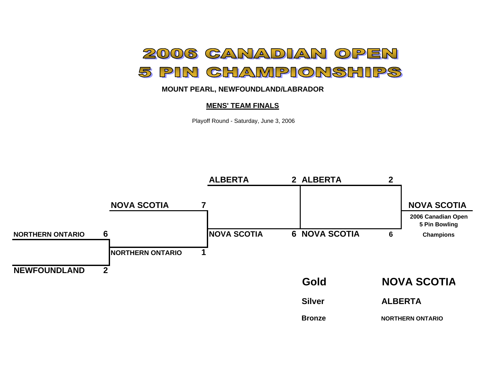

## **MOUNT PEARL, NEWFOUNDLAND/LABRADOR**

#### **MENS' TEAM FINALS**

Playoff Round - Saturday, June 3, 2006

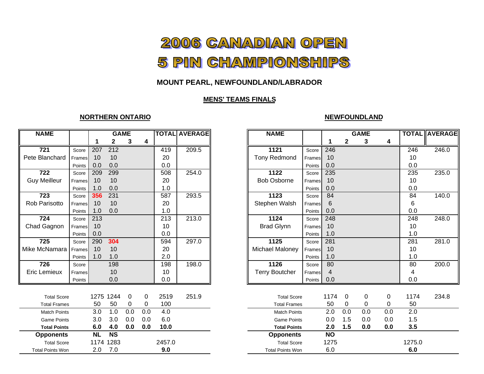# 2006 CANADIAN OPEN 5 PIN CHAMPIONSHIPS

## **MOUNT PEARL, NEWFOUNDLAND/LABRADOR**

## **MENS' TEAMS FINALS**

### **NORTHERN ONTARIO**

#### **NEWFOUNDLAND**

| <b>NAME</b>             |        |           |                        | <b>GAME</b> |     |        | <b>TOTAL AVERAGE</b> | <b>NAME</b>             |        |                | <b>GAME</b>  |     |     | <b>TOT</b>      |
|-------------------------|--------|-----------|------------------------|-------------|-----|--------|----------------------|-------------------------|--------|----------------|--------------|-----|-----|-----------------|
|                         |        | 1         | 2                      | 3           | 4   |        |                      |                         |        | 1              | $\mathbf{2}$ | 3   | 4   |                 |
| $\overline{721}$        | Score  | 207       | 212                    |             |     | 419    | 209.5                | 1121                    | Score  | 246            |              |     |     | 24              |
| Pete Blanchard          | Frames | 10        | 10                     |             |     | 20     |                      | <b>Tony Redmond</b>     | Frames | 10             |              |     |     | 10              |
|                         | Points | 0.0       | 0.0                    |             |     | 0.0    |                      |                         | Points | 0.0            |              |     |     | 0.0             |
| $\overline{722}$        | Score  | 209       | 299                    |             |     | 508    | 254.0                | 1122                    | Score  | 235            |              |     |     | 23              |
| <b>Guy Meilleur</b>     | Frames | 10        | 10                     |             |     | 20     |                      | <b>Bob Osborne</b>      | Frames | 10             |              |     |     | 10              |
|                         | Points | 1.0       | 0.0                    |             |     | 1.0    |                      |                         | Points | 0.0            |              |     |     | 0.0             |
| 723                     | Score  | 356       | 231                    |             |     | 587    | 293.5                | 1123                    | Score  | 84             |              |     |     | 84              |
| Rob Parisotto           | Frames | 10        | 10                     |             |     | 20     |                      | Stephen Walsh           | Frames | 6              |              |     |     | 6               |
|                         | Points | 1.0       | 0.0                    |             |     | 1.0    |                      |                         | Points | 0.0            |              |     |     | 0.0             |
| 724                     | Score  | 213       |                        |             |     | 213    | 213.0                | 1124                    | Score  | 248            |              |     |     | 248             |
| Chad Gagnon             | Frames | 10        |                        |             |     | 10     |                      | <b>Brad Glynn</b>       | Frames | 10             |              |     |     | 10              |
|                         | Points | 0.0       |                        |             |     | 0.0    |                      |                         | Points | 1.0            |              |     |     | 1.0             |
| 725                     | Score  | 290       | 304                    |             |     | 594    | 297.0                | 1125                    | Score  | 281            |              |     |     | 28 <sup>2</sup> |
| Mike McNamara           | Frames | 10        | 10                     |             |     | 20     |                      | Michael Maloney         | Frames | 10             |              |     |     | 10              |
|                         | Points | 1.0       | 1.0                    |             |     | 2.0    |                      |                         | Points | 1.0            |              |     |     | 1.0             |
| 726                     | Score  |           | 198                    |             |     | 198    | 198.0                | 1126                    | Score  | 80             |              |     |     | 80              |
| <b>Eric Lemieux</b>     | Frames |           | 10                     |             |     | 10     |                      | <b>Terry Boutcher</b>   | Frames | $\overline{4}$ |              |     |     | 4               |
|                         | Points |           | 0.0                    |             |     | 0.0    |                      |                         | Points | 0.0            |              |     |     | 0.0             |
|                         |        |           |                        |             |     |        |                      |                         |        |                |              |     |     |                 |
| <b>Total Score</b>      |        |           | 1275 1244              | 0           | 0   | 2519   | 251.9                | <b>Total Score</b>      |        | 1174           | 0            | 0   | 0   | 117             |
| <b>Total Frames</b>     |        | 50        | 50                     | 0           | 0   | 100    |                      | <b>Total Frames</b>     |        | 50             | 0            | 0   | 0   | 50              |
| <b>Match Points</b>     |        | 3.0       | 1.0                    | 0.0         | 0.0 | 4.0    |                      | <b>Match Points</b>     |        | 2.0            | 0.0          | 0.0 | 0.0 | 2.0             |
| <b>Game Points</b>      |        | 3.0       | 3.0                    | 0.0         | 0.0 | 6.0    |                      | <b>Game Points</b>      |        | 0.0            | 1.5          | 0.0 | 0.0 | 1.5             |
| <b>Total Points</b>     |        | 6.0       | 4.0                    | 0.0         | 0.0 | 10.0   |                      | <b>Total Points</b>     |        | 2.0            | 1.5          | 0.0 | 0.0 | 3.5             |
| <b>Opponents</b>        |        | <b>NL</b> | $\overline{\text{NS}}$ |             |     |        |                      | <b>Opponents</b>        |        | <b>NO</b>      |              |     |     |                 |
| <b>Total Score</b>      |        |           | 1174 1283              |             |     | 2457.0 |                      | <b>Total Score</b>      |        | 1275           |              |     |     | 1275            |
| <b>Total Points Won</b> |        | 2.0       | 7.0                    |             |     | 9.0    |                      | <b>Total Points Won</b> |        | 6.0            |              |     |     | 6.0             |

| <b>NAME</b>            |        |     | <b>GAME</b>            |                |     |        | <b>TOTAL AVERAGE</b> | <b>NAME</b>             |        |                 |                | <b>GAME</b> |     | <b>TOTAL AVERAGE</b> |  |
|------------------------|--------|-----|------------------------|----------------|-----|--------|----------------------|-------------------------|--------|-----------------|----------------|-------------|-----|----------------------|--|
|                        |        | 1   | 2                      | 3              | 4   |        |                      |                         |        |                 | $\mathbf{2}$   | 3           | 4   |                      |  |
| 721                    | Score  | 207 | 212                    |                |     | 419    | 209.5                | 1121                    | Score  | 246             |                |             |     | $\overline{246}$     |  |
| Blanchard              | Frames | 10  | 10                     |                |     | 20     |                      | <b>Tony Redmond</b>     | Frames | 10              |                |             |     | 10                   |  |
|                        | Points | 0.0 | 0.0                    |                |     | 0.0    |                      |                         | Points | 0.0             |                |             |     | 0.0                  |  |
| $\overline{722}$       | Score  | 209 | 299                    |                |     | 508    | 254.0                | 1122                    | Score  | 235             |                |             |     | 235                  |  |
| y Meilleur             | Frames | 10  | 10                     |                |     | 20     |                      | <b>Bob Osborne</b>      | Frames | 10              |                |             |     | 10                   |  |
|                        | Points | 1.0 | 0.0                    |                |     | 1.0    |                      |                         | Points | 0.0             |                |             |     | 0.0                  |  |
| 723                    | Score  | 356 | 231                    |                |     | 587    | 293.5                | 1123                    | Score  | 84              |                |             |     | 84                   |  |
| Parisotto              | Frames | 10  | 10                     |                |     | 20     |                      | Stephen Walsh           | Frames | 6               |                |             |     | 6                    |  |
|                        | Points | 1.0 | 0.0                    |                |     | 1.0    |                      |                         | Points | 0.0             |                |             |     | 0.0                  |  |
| $\overline{724}$       | Score  | 213 |                        |                |     | 213    | 213.0                | 1124                    | Score  | 248             |                |             |     | 248                  |  |
| d Gagnon               | Frames | 10  |                        |                |     | 10     |                      | <b>Brad Glynn</b>       | Frames | 10              |                |             |     | 10                   |  |
|                        | Points | 0.0 |                        |                |     | 0.0    |                      |                         | Points | 1.0             |                |             |     | 1.0                  |  |
| 725                    | Score  | 290 | 304                    |                |     | 594    | 297.0                | 1125                    | Score  | 281             |                |             |     | 281                  |  |
| McNamara               | Frames | 10  | 10                     |                |     | 20     |                      | <b>Michael Maloney</b>  | Frames | 10              |                |             |     | 10                   |  |
|                        | Points | 1.0 | 1.0                    |                |     | 2.0    |                      |                         | Points | 1.0             |                |             |     | 1.0                  |  |
| 726                    | Score  |     | 198                    |                |     | 198    | 198.0                | 1126                    | Score  | 80              |                |             |     | 80                   |  |
| : Lemieux              | Frames |     | 10                     |                |     | 10     |                      | <b>Terry Boutcher</b>   | Frames | $\overline{4}$  |                |             |     | 4                    |  |
|                        | Points |     | 0.0                    |                |     | 0.0    |                      |                         | Points | 0.0             |                |             |     | 0.0                  |  |
| <b>Total Score</b>     |        |     | 1275 1244              | $\overline{0}$ | 0   | 2519   | 251.9                | <b>Total Score</b>      |        | 1174            | $\overline{0}$ | 0           | 0   | 1174                 |  |
| <b>Total Frames</b>    |        | 50  | 50                     | 0              | 0   | 100    |                      | <b>Total Frames</b>     |        | 50              | 0              | 0           | 0   | 50                   |  |
| <b>Match Points</b>    |        | 3.0 | 1.0                    | 0.0            | 0.0 | 4.0    |                      | <b>Match Points</b>     |        | 2.0             | 0.0            | 0.0         | 0.0 | 2.0                  |  |
| <b>Game Points</b>     |        | 3.0 | 3.0                    | 0.0            | 0.0 | 6.0    |                      | <b>Game Points</b>      |        | 0.0             | 1.5            | 0.0         | 0.0 | 1.5                  |  |
| <b>Total Points</b>    |        | 6.0 | 4.0                    | 0.0            | 0.0 | 10.0   |                      | <b>Total Points</b>     |        | 2.0             | 1.5            | 0.0         | 0.0 | 3.5                  |  |
| <b>Opponents</b>       |        | NL  | $\overline{\text{NS}}$ |                |     |        |                      | <b>Opponents</b>        |        | $\overline{NO}$ |                |             |     |                      |  |
| <b>Total Score</b>     |        |     | 1174 1283              |                |     | 2457.0 |                      | <b>Total Score</b>      |        | 1275            |                |             |     | 1275.0               |  |
| <b>otal Points Won</b> |        | 2.0 | 7.0                    |                |     | 9.0    |                      | <b>Total Points Won</b> |        | 6.0             |                |             |     | 6.0                  |  |